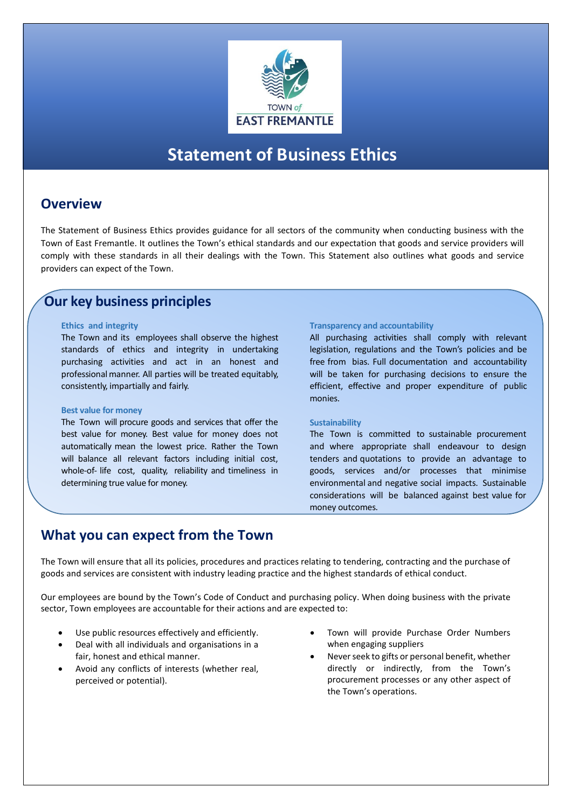

# **Statement of Business Ethics**

### **Overview**

The Statement of Business Ethics provides guidance for all sectors of the community when conducting business with the Town of East Fremantle. It outlines the Town's ethical standards and our expectation that goods and service providers will comply with these standards in all their dealings with the Town. This Statement also outlines what goods and service providers can expect of the Town.

## **Our key business principles**

#### **Ethics and integrity**

The Town and its employees shall observe the highest standards of ethics and integrity in undertaking purchasing activities and act in an honest and professionalmanner. All parties will be treated equitably, consistently, impartially and fairly.

#### **Best value for money**

The Town will procure goods and services that offer the best value for money. Best value for money does not automatically mean the lowest price. Rather the Town will balance all relevant factors including initial cost, whole-of- life cost, quality, reliability and timeliness in determining true value for money.

#### **Transparency and accountability**

All purchasing activities shall comply with relevant legislation, regulations and the Town's policies and be free from bias. Full documentation and accountability will be taken for purchasing decisions to ensure the efficient, effective and proper expenditure of public monies.

#### **Sustainability**

The Town is committed to sustainable procurement and where appropriate shall endeavour to design tenders and quotations to provide an advantage to goods, services and/or processes that minimise environmental and negative social impacts. Sustainable considerations will be balanced against best value for money outcomes.

### **What you can expect from the Town**

The Town will ensure that all its policies, procedures and practices relating to tendering, contracting and the purchase of goods and services are consistent with industry leading practice and the highest standards of ethical conduct.

Our employees are bound by the Town's Code of Conduct and purchasing policy. When doing business with the private sector, Town employees are accountable for their actions and are expected to:

- Use public resources effectively and efficiently.
- Deal with all individuals and organisations in a fair, honest and ethical manner.
- Avoid any conflicts of interests (whether real, perceived or potential).
- Town will provide Purchase Order Numbers when engaging suppliers
- Never seek to gifts or personal benefit, whether directly or indirectly, from the Town's procurement processes or any other aspect of the Town's operations.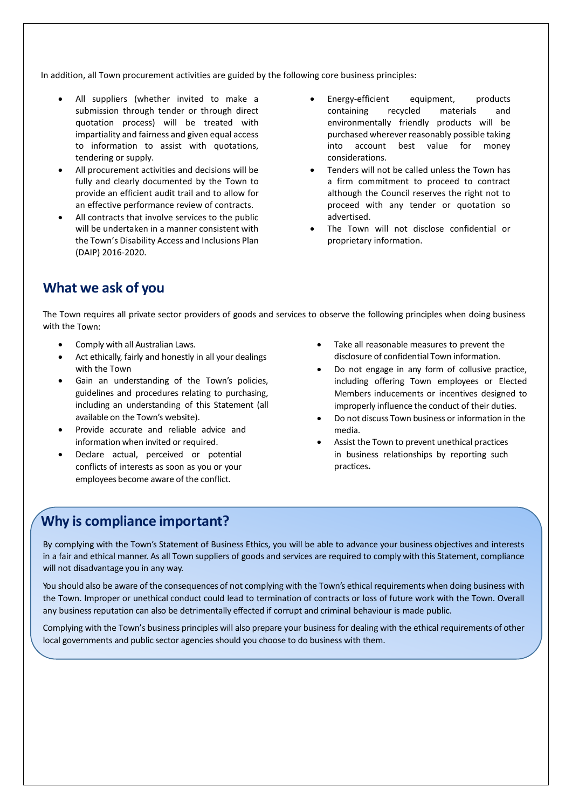In addition, all Town procurement activities are guided by the following core business principles:

- All suppliers (whether invited to make a submission through tender or through direct quotation process) will be treated with impartiality and fairness and given equal access to information to assist with quotations, tendering or supply.
- All procurement activities and decisions will be fully and clearly documented by the Town to provide an efficient audit trail and to allow for an effective performance review of contracts.
- All contracts that involve services to the public will be undertaken in a manner consistent with the Town's Disability Access and Inclusions Plan (DAIP) 2016-2020.
- Energy-efficient equipment, products containing recycled materials and environmentally friendly products will be purchased wherever reasonably possible taking into account best value for money considerations.
- Tenders will not be called unless the Town has a firm commitment to proceed to contract although the Council reserves the right not to proceed with any tender or quotation so advertised.
- The Town will not disclose confidential or proprietary information.

## **What we ask of you**

The Town requires all private sector providers of goods and services to observe the following principles when doing business with the Town:

- Comply with all Australian Laws.
- Act ethically, fairly and honestly in all your dealings with the Town
- Gain an understanding of the Town's policies, guidelines and procedures relating to purchasing, including an understanding of this Statement (all available on the Town's website).
- Provide accurate and reliable advice and information when invited or required.
- Declare actual, perceived or potential conflicts of interests as soon as you or your employees become aware of the conflict.
- Take all reasonable measures to prevent the disclosure of confidential Town information.
- Do not engage in any form of collusive practice, including offering Town employees or Elected Members inducements or incentives designed to improperly influence the conduct of their duties.
- Do not discuss Town business or information in the media.
- Assist the Town to prevent unethical practices in business relationships by reporting such practices**.**

## **Why is compliance important?**

By complying with the Town's Statement of Business Ethics, you will be able to advance your business objectives and interests in a fair and ethical manner. As all Town suppliers of goods and services are required to comply with this Statement, compliance will not disadvantage you in any way.

You should also be aware of the consequences of not complying with the Town's ethical requirements when doing business with the Town. Improper or unethical conduct could lead to termination of contracts or loss of future work with the Town. Overall any business reputation can also be detrimentally effected if corrupt and criminal behaviour is made public.

Complying with the Town's business principles will also prepare your business for dealing with the ethical requirements of other local governments and public sector agencies should you choose to do business with them.